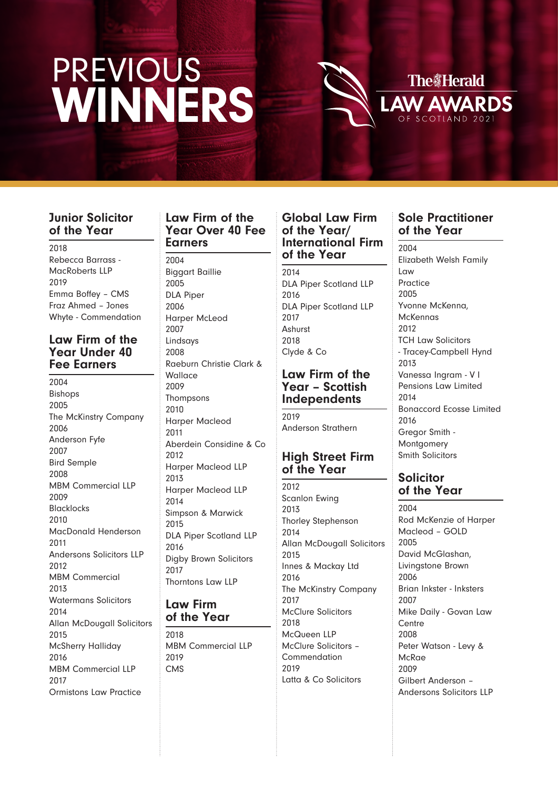

### **Junior Solicitor of the Year**

2018 Rebecca Barrass - MacRoberts LLP 2019 Emma Boffey – CMS Fraz Ahmed – Jones Whyte - Commendation

#### **Law Firm of the Year Under 40 Fee Earners**

2004 Bishops 2005 The McKinstry Company 2006 Anderson Fyfe 2007 Bird Semple 2008 MBM Commercial LLP 2009 Blacklocks  $2010$ MacDonald Henderson 2011 Andersons Solicitors LLP 2012 MBM Commercial 2013 Watermans Solicitors 2014 Allan McDougall Solicitors 2015 McSherry Halliday 2016 MBM Commercial LLP 2017 Ormistons Law Practice

#### **Law Firm of the Year Over 40 Fee Earners**

#### 2004 Biggart Baillie 2005 DLA Piper 2006 Harper McLeod 2007 Lindsays 2008 Raeburn Christie Clark & Wallace 2009 Thompsons 2010 Harper Macleod 2011 Aberdein Considine & Co 2012 Harper Macleod LLP 2013 Harper Macleod LLP 2014 Simpson & Marwick 2015 DLA Piper Scotland LLP 2016 Digby Brown Solicitors 2017 Thorntons Law LLP

#### **Law Firm of the Year**

2018 MBM Commercial LLP 2019 CMS

#### **Global Law Firm of the Year/ International Firm of the Year**

2014 DLA Piper Scotland LLP 2016 DLA Piper Scotland LLP 2017 Ashurst 2018 Clyde & Co

#### **Law Firm of the Year – Scottish Independents**

2019 Anderson Strathern

## **High Street Firm of the Year**

2012 Scanlon Ewing 2013 Thorley Stephenson 2014 Allan McDougall Solicitors 2015 Innes & Mackay Ltd 2016 The McKinstry Company 2017 McClure Solicitors 2018 McQueen LLP McClure Solicitors – Commendation 2019 Latta & Co Solicitors

## **Sole Practitioner of the Year**

2004 Elizabeth Welsh Family Law Practice 2005 Yvonne McKenna, McKennas 2012 TCH Law Solicitors - Tracey-Campbell Hynd 2013 Vanessa Ingram - V I Pensions Law Limited  $2014$ Bonaccord Ecosse Limited 2016 Gregor Smith - Montgomery Smith Solicitors

## **Solicitor of the Year**

2004 Rod McKenzie of Harper Macleod – GOLD 2005 David McGlashan, Livingstone Brown 2006 Brian Inkster - Inksters 2007 Mike Daily - Govan Law **Centre** 2008 Peter Watson - Levy & **McRae** 2009 Gilbert Anderson – Andersons Solicitors LLP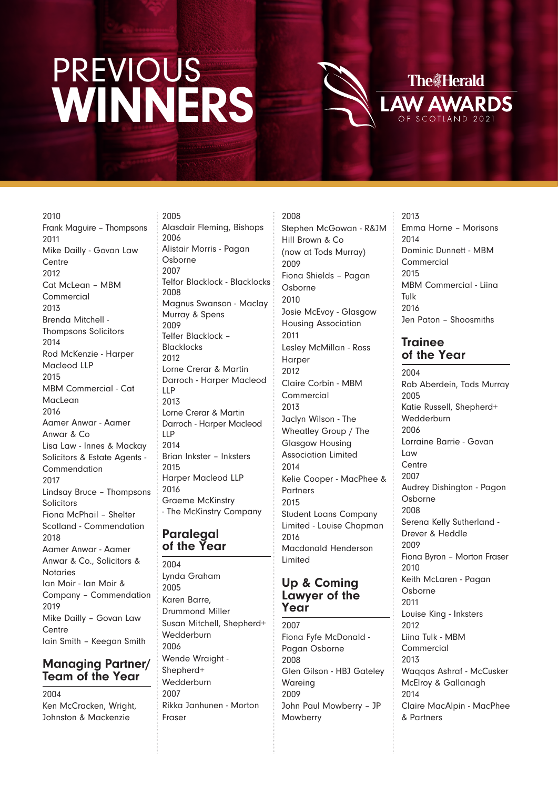

2010 Frank Maguire – Thompsons 2011 Mike Dailly - Govan Law **Centre** 2012 Cat McLean – MBM **Commercial**  $2013$ Brenda Mitchell - Thompsons Solicitors 2014 Rod McKenzie - Harper Macleod LLP 2015 MBM Commercial - Cat MacLean 2016 Aamer Anwar - Aamer Anwar & Co Lisa Law - Innes & Mackay Solicitors & Estate Agents - Commendation 2017 Lindsay Bruce – Thompsons Solicitors Fiona McPhail – Shelter Scotland - Commendation 2018 Aamer Anwar - Aamer Anwar & Co., Solicitors & Notaries Ian Moir - Ian Moir & Company – Commendation 2019 Mike Dailly – Govan Law **Centre** Iain Smith – Keegan Smith

#### **Managing Partner/ Team of the Year**

2004 Ken McCracken, Wright, Johnston & Mackenzie

2005 Alasdair Fleming, Bishops 2006 Alistair Morris - Pagan Osborne 2007 Telfor Blacklock - Blacklocks 2008 Magnus Swanson - Maclay Murray & Spens 2009 Telfer Blacklock – Blacklocks 2012 Lorne Crerar & Martin Darroch - Harper Macleod LLP 2013 Lorne Crerar & Martin Darroch - Harper Macleod LLP 2014 Brian Inkster – Inksters 2015 Harper Macleod LLP 2016 Graeme McKinstry - The McKinstry Company

### **Paralegal of the Year**

2004 Lynda Graham 2005 Karen Barre, Drummond Miller Susan Mitchell, Shepherd+ **Wedderburn** 2006 Wende Wraight - Shepherd+ **Wedderburn** 2007 Rikka Janhunen - Morton Fraser

2008 Stephen McGowan - R&JM Hill Brown & Co (now at Tods Murray) 2009 Fiona Shields – Pagan Osborne 2010 Josie McEvoy - Glasgow Housing Association 2011 Lesley McMillan - Ross Harper 2012 Claire Corbin - MBM Commercial 2013 Jaclyn Wilson - The Wheatley Group / The Glasgow Housing Association Limited 2014 Kelie Cooper - MacPhee & **Partners** 2015 Student Loans Company Limited - Louise Chapman 2016 Macdonald Henderson Limited

#### **Up & Coming Lawyer of the Year**

2007 Fiona Fyfe McDonald - Pagan Osborne 2008 Glen Gilson - HBJ Gateley Wareing 2009 John Paul Mowberry – JP **Mowberry** 

2013 Emma Horne – Morisons  $2014$ Dominic Dunnett - MBM **Commercial** 2015 MBM Commercial - Liina Tulk 2016 Jen Paton – Shoosmiths

## **Trainee of the Year**

2004 Rob Aberdein, Tods Murray 2005 Katie Russell, Shepherd+ **Wedderburn** 2006 Lorraine Barrie - Govan Law **Centre** 2007 Audrey Dishington - Pagon Osborne 2008 Serena Kelly Sutherland - Drever & Heddle 2009 Fiona Byron – Morton Fraser 2010 Keith McLaren - Pagan Osborne 2011 Louise King - Inksters 2012 Liina Tulk - MBM Commercial 2013 Waqqas Ashraf - McCusker McElroy & Gallanagh 2014 Claire MacAlpin - MacPhee & Partners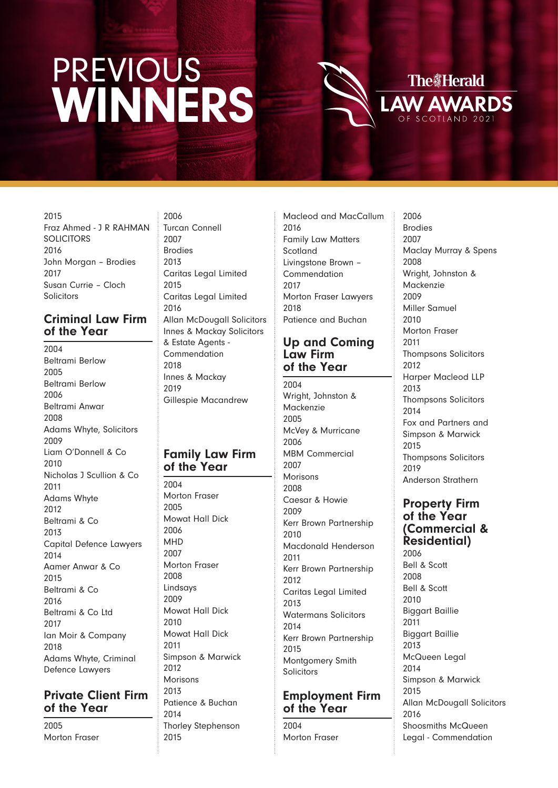

2015 Fraz Ahmed - J R RAHMAN **SOLICITORS** 2016 John Morgan – Brodies 2017 Susan Currie – Cloch **Solicitors** 

### **Criminal Law Firm of the Year**

2004 Beltrami Berlow 2005 Beltrami Berlow 2006 Beltrami Anwar 2008 Adams Whyte, Solicitors 2009 Liam O'Donnell & Co  $2010$ Nicholas J Scullion & Co 2011 Adams Whyte 2012 Beltrami & Co 2013 Capital Defence Lawyers 2014 Aamer Anwar & Co 2015 Beltrami & Co 2016 Beltrami & Co Ltd 2017 Ian Moir & Company 2018 Adams Whyte, Criminal Defence Lawyers

## **Private Client Firm of the Year**

2005 Morton Fraser

2006 Turcan Connell 2007 Brodies 2013 Caritas Legal Limited 2015 Caritas Legal Limited 2016 Allan McDougall Solicitors Innes & Mackay Solicitors & Estate Agents - Commendation 2018 Innes & Mackay 2019 Gillespie Macandrew

### **Family Law Firm of the Year**

2004 Morton Fraser 2005 Mowat Hall Dick 2006 MHD 2007 Morton Fraser 2008 Lindsays 2009 Mowat Hall Dick 2010 Mowat Hall Dick 2011 Simpson & Marwick 2012 Morisons 2013 Patience & Buchan 2014 Thorley Stephenson 2015

Macleod and MacCallum 2016 Family Law Matters Scotland Livingstone Brown – Commendation 2017 Morton Fraser Lawyers 2018 Patience and Buchan

#### **Up and Coming Law Firm of the Year**

2004 Wright, Johnston & Mackenzie 2005 McVey & Murricane 2006 MBM Commercial 2007 Morisons 2008 Caesar & Howie 2009 Kerr Brown Partnership 2010 Macdonald Henderson 2011 Kerr Brown Partnership 2012 Caritas Legal Limited 2013 Watermans Solicitors 2014 Kerr Brown Partnership 2015 Montgomery Smith **Solicitors** 

### **Employment Firm of the Year**

 $2004$ Morton Fraser

2006 Brodies 2007 Maclay Murray & Spens 2008 Wright, Johnston & Mackenzie 2009 Miller Samuel 2010 Morton Fraser 2011 Thompsons Solicitors 2012 Harper Macleod LLP 2013 Thompsons Solicitors 2014 Fox and Partners and Simpson & Marwick 2015 Thompsons Solicitors 2019 Anderson Strathern

**Property Firm of the Year (Commercial & Residential)** 2006

Bell & Scott 2008 Bell & Scott 2010 Biggart Baillie 2011 Biggart Baillie 2013 McQueen Legal 2014 Simpson & Marwick 2015 Allan McDougall Solicitors 2016 Shoosmiths McQueen Legal - Commendation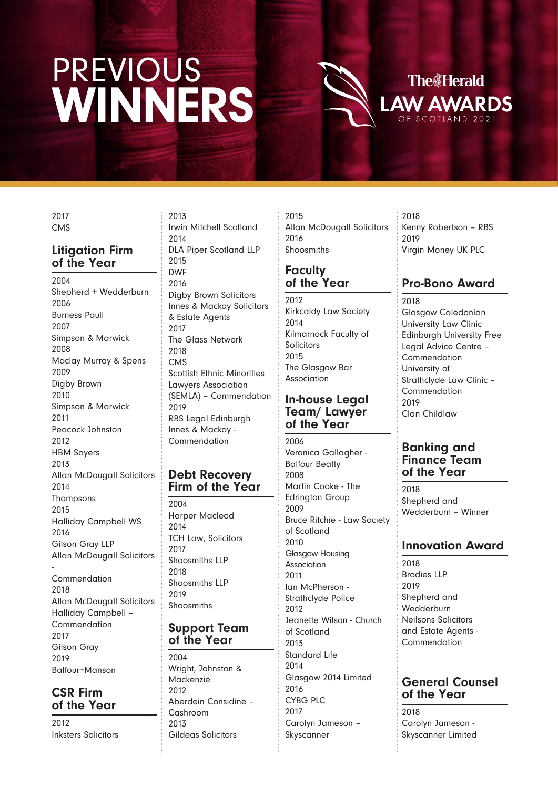**The Herald V AWARDS** 

2017 CMS

#### **Litigation Firm of the Year**

2004 Shepherd + Wedderburn 2006 Burness Paull 2007 Simpson & Marwick 2008 Maclay Murray & Spens 2009 Digby Brown 2010 Simpson & Marwick 2011 Peacock Johnston 2012 HBM Sayers 2013 Allan McDougall Solicitors 2014 Thompsons 2015 Halliday Campbell WS 2016 Gilson Gray LLP Allan McDougall Solicitors - Commendation 2018 Allan McDougall Solicitors Halliday Campbell – **Commendation** 2017 Gilson Gray 2019 Balfour+Manson

### **CSR Firm of the Year**

2012 Inksters Solicitors

2013 Irwin Mitchell Scotland 2014 DLA Piper Scotland LLP 2015 DWF 2016 Digby Brown Solicitors Innes & Mackay Solicitors & Estate Agents 2017 The Glass Network 2018 CMS Scottish Ethnic Minorities Lawyers Association (SEMLA) – Commendation 2019 RBS Legal Edinburgh Innes & Mackay - **Commendation** 

#### **Debt Recovery Firm of the Year**

2004 Harper Macleod 2014 TCH Law, Solicitors 2017 Shoosmiths LLP 2018 Shoosmiths LLP 2019 **Shoosmiths** 

#### **Support Team of the Year**

 $2004$ Wright, Johnston & Mackenzie 2012 Aberdein Considine – Cashroom  $2013$ Gildeas Solicitors

2015 Allan McDougall Solicitors 2016 Shoosmiths

#### **Faculty of the Year**

2012 Kirkcaldy Law Society 2014 Kilmarnock Faculty of Solicitors 2015 The Glasgow Bar Association

#### **In-house Legal Team/ Lawyer of the Year**

2006 Veronica Gallagher - Balfour Beatty 2008 Martin Cooke - The Edrington Group 2009 Bruce Ritchie - Law Society of Scotland 2010 Glasgow Housing **Association** 2011 Ian McPherson - Strathclyde Police 2012 Jeanette Wilson - Church of Scotland 2013 Standard Life 2014 Glasgow 2014 Limited 2016 CYBG PLC 2017 Carolyn Jameson – Skyscanner

2018 Kenny Robertson – RBS 2019 Virgin Money UK PLC

# **Pro-Bono Award**

2018 Glasgow Caledonian University Law Clinic Edinburgh University Free Legal Advice Centre – Commendation University of Strathclyde Law Clinic – Commendation 2019 Clan Childlaw

#### **Banking and Finance Team of the Year**

2018 Shepherd and Wedderburn – Winner

# **Innovation Award**

2018 Brodies LLP 2019 Shepherd and **Wedderburn** Neilsons Solicitors and Estate Agents - Commendation

## **General Counsel of the Year**

2018 Carolyn Jameson - Skyscanner Limited